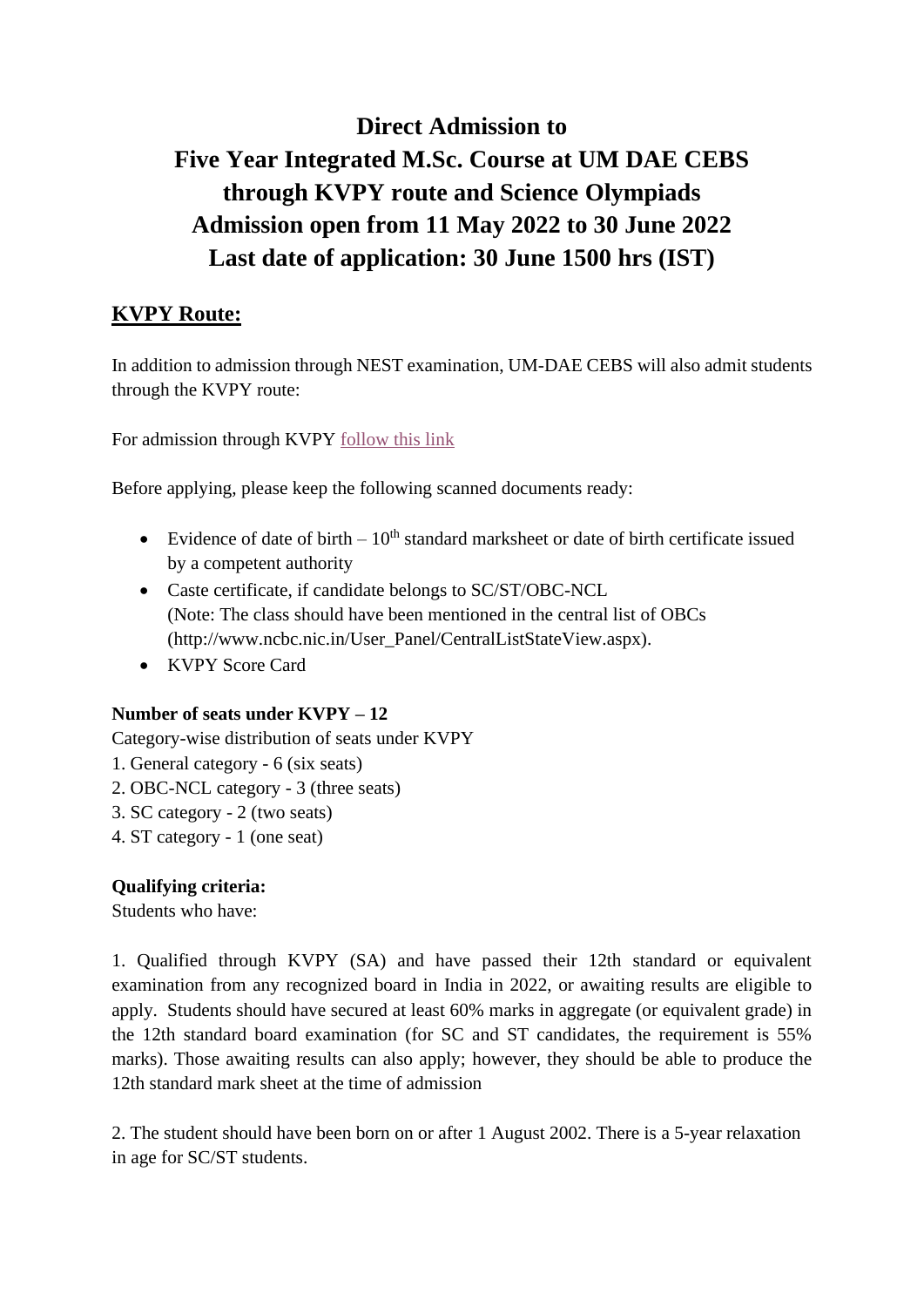# **Direct Admission to Five Year Integrated M.Sc. Course at UM DAE CEBS through KVPY route and Science Olympiads Admission open from 11 May 2022 to 30 June 2022 Last date of application: 30 June 1500 hrs (IST)**

# **KVPY Route:**

In addition to admission through NEST examination, UM-DAE CEBS will also admit students through the KVPY route:

For admission through KVPY [follow this link](https://docs.google.com/forms/d/1yVtHw5RETUcoim8tBAvCK_EWiYg0yWTGDBZrqOhtz7M/edit)

Before applying, please keep the following scanned documents ready:

- Evidence of date of birth  $-10^{th}$  standard marksheet or date of birth certificate issued by a competent authority
- Caste certificate, if candidate belongs to SC/ST/OBC-NCL (Note: The class should have been mentioned in the central list of OBCs (http://www.ncbc.nic.in/User\_Panel/CentralListStateView.aspx).
- KVPY Score Card

#### **Number of seats under KVPY – 12**

Category-wise distribution of seats under KVPY

- 1. General category 6 (six seats)
- 2. OBC-NCL category 3 (three seats)
- 3. SC category 2 (two seats)
- 4. ST category 1 (one seat)

# **Qualifying criteria:**

Students who have:

1. Qualified through KVPY (SA) and have passed their 12th standard or equivalent examination from any recognized board in India in 2022, or awaiting results are eligible to apply. Students should have secured at least 60% marks in aggregate (or equivalent grade) in the 12th standard board examination (for SC and ST candidates, the requirement is 55% marks). Those awaiting results can also apply; however, they should be able to produce the 12th standard mark sheet at the time of admission

2. The student should have been born on or after 1 August 2002. There is a 5-year relaxation in age for SC/ST students.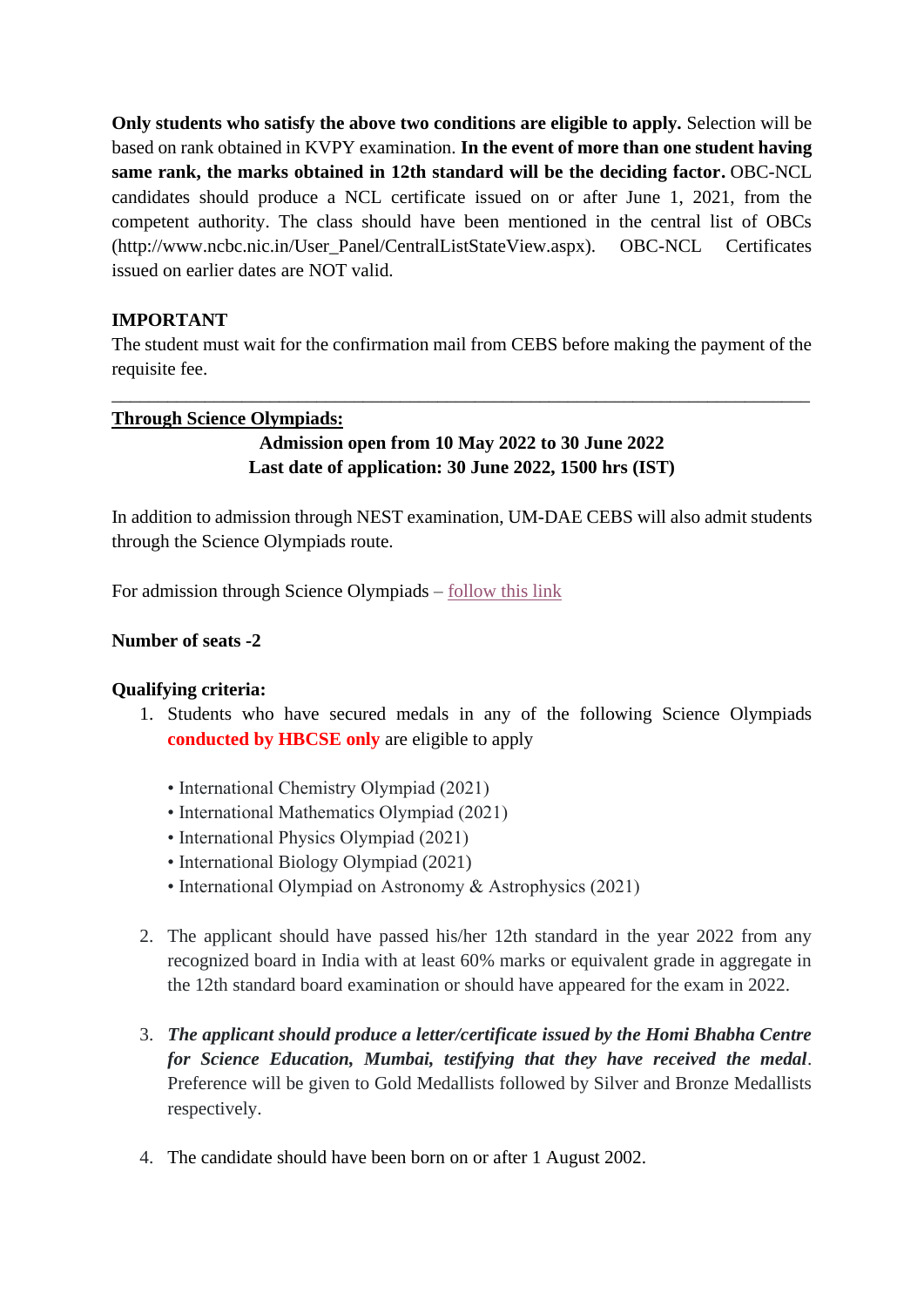**Only students who satisfy the above two conditions are eligible to apply.** Selection will be based on rank obtained in KVPY examination. **In the event of more than one student having same rank, the marks obtained in 12th standard will be the deciding factor.** OBC-NCL candidates should produce a NCL certificate issued on or after June 1, 2021, from the competent authority. The class should have been mentioned in the central list of OBCs (http://www.ncbc.nic.in/User\_Panel/CentralListStateView.aspx). OBC-NCL Certificates issued on earlier dates are NOT valid.

## **IMPORTANT**

The student must wait for the confirmation mail from CEBS before making the payment of the requisite fee.

\_\_\_\_\_\_\_\_\_\_\_\_\_\_\_\_\_\_\_\_\_\_\_\_\_\_\_\_\_\_\_\_\_\_\_\_\_\_\_\_\_\_\_\_\_\_\_\_\_\_\_\_\_\_\_\_\_\_\_\_\_\_\_\_\_\_\_\_\_\_\_\_\_\_\_

#### **Through Science Olympiads:**

# **Admission open from 10 May 2022 to 30 June 2022 Last date of application: 30 June 2022, 1500 hrs (IST)**

In addition to admission through NEST examination, UM-DAE CEBS will also admit students through the Science Olympiads route.

For admission through Science Olympiads – [follow this link](https://docs.google.com/forms/d/1enbYj0zBJ-QWSI1tDK_5GEvIRlUknVp1eB-1I0NayN8/edit)

#### **Number of seats -2**

#### **Qualifying criteria:**

- 1. Students who have secured medals in any of the following Science Olympiads **conducted by HBCSE only** are eligible to apply
	- International Chemistry Olympiad (2021)
	- International Mathematics Olympiad (2021)
	- International Physics Olympiad (2021)
	- International Biology Olympiad (2021)
	- International Olympiad on Astronomy & Astrophysics (2021)
- 2. The applicant should have passed his/her 12th standard in the year 2022 from any recognized board in India with at least 60% marks or equivalent grade in aggregate in the 12th standard board examination or should have appeared for the exam in 2022.
- 3. *The applicant should produce a letter/certificate issued by the Homi Bhabha Centre for Science Education, Mumbai, testifying that they have received the medal*. Preference will be given to Gold Medallists followed by Silver and Bronze Medallists respectively.
- 4. The candidate should have been born on or after 1 August 2002.